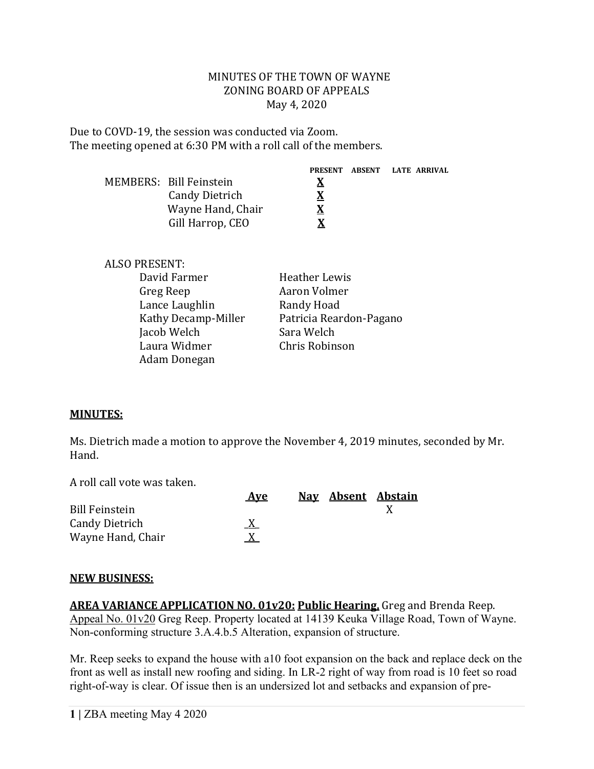#### MINUTES OF THE TOWN OF WAYNE ZONING BOARD OF APPEALS May 4, 2020

Due to COVD-19, the session was conducted via Zoom. The meeting opened at 6:30 PM with a roll call of the members.

|                         |   | PRESENT ABSENT LATE ARRIVAL |
|-------------------------|---|-----------------------------|
| MEMBERS: Bill Feinstein | X |                             |
| <b>Candy Dietrich</b>   | х |                             |
| Wayne Hand, Chair       | X |                             |
| Gill Harrop, CEO        | X |                             |

| ALSO PRESENT:       |                         |
|---------------------|-------------------------|
| David Farmer        | Heather Lewis           |
| Greg Reep           | Aaron Volmer            |
| Lance Laughlin      | Randy Hoad              |
| Kathy Decamp-Miller | Patricia Reardon-Pagano |
| Jacob Welch         | Sara Welch              |
| Laura Widmer        | Chris Robinson          |
| Adam Donegan        |                         |
|                     |                         |

### **MINUTES:**

Ms. Dietrich made a motion to approve the November 4, 2019 minutes, seconded by Mr. Hand.

A roll call vote was taken.

|                       | <b>Ave</b> |  | Nav Absent Abstain |
|-----------------------|------------|--|--------------------|
| <b>Bill Feinstein</b> |            |  |                    |
| <b>Candy Dietrich</b> |            |  |                    |
| Wayne Hand, Chair     |            |  |                    |

### **NEW BUSINESS:**

**AREA VARIANCE APPLICATION NO. 01v20: Public Hearing,** Greg and Brenda Reep. Appeal No. 01v20 Greg Reep. Property located at 14139 Keuka Village Road, Town of Wayne. Non-conforming structure 3.A.4.b.5 Alteration, expansion of structure.

Mr. Reep seeks to expand the house with a10 foot expansion on the back and replace deck on the front as well as install new roofing and siding. In LR-2 right of way from road is 10 feet so road right-of-way is clear. Of issue then is an undersized lot and setbacks and expansion of pre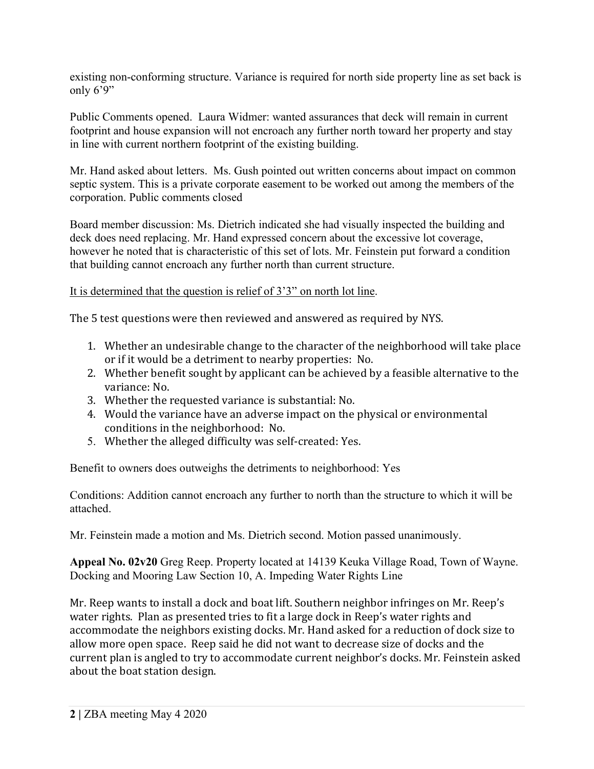existing non-conforming structure. Variance is required for north side property line as set back is only  $6'9''$ 

Public Comments opened. Laura Widmer: wanted assurances that deck will remain in current footprint and house expansion will not encroach any further north toward her property and stay in line with current northern footprint of the existing building.

Mr. Hand asked about letters. Ms. Gush pointed out written concerns about impact on common septic system. This is a private corporate easement to be worked out among the members of the corporation. Public comments closed

Board member discussion: Ms. Dietrich indicated she had visually inspected the building and deck does need replacing. Mr. Hand expressed concern about the excessive lot coverage, however he noted that is characteristic of this set of lots. Mr. Feinstein put forward a condition that building cannot encroach any further north than current structure.

It is determined that the question is relief of 3'3" on north lot line.

The 5 test questions were then reviewed and answered as required by NYS.

- 1. Whether an undesirable change to the character of the neighborhood will take place or if it would be a detriment to nearby properties: No.
- 2. Whether benefit sought by applicant can be achieved by a feasible alternative to the variance: No.
- 3. Whether the requested variance is substantial: No.
- 4. Would the variance have an adverse impact on the physical or environmental conditions in the neighborhood: No.
- 5. Whether the alleged difficulty was self-created: Yes.

Benefit to owners does outweighs the detriments to neighborhood: Yes

Conditions: Addition cannot encroach any further to north than the structure to which it will be attached.

Mr. Feinstein made a motion and Ms. Dietrich second. Motion passed unanimously.

**Appeal No. 02v20** Greg Reep. Property located at 14139 Keuka Village Road, Town of Wayne. Docking and Mooring Law Section 10, A. Impeding Water Rights Line

Mr. Reep wants to install a dock and boat lift. Southern neighbor infringes on Mr. Reep's water rights. Plan as presented tries to fit a large dock in Reep's water rights and accommodate the neighbors existing docks. Mr. Hand asked for a reduction of dock size to allow more open space. Reep said he did not want to decrease size of docks and the current plan is angled to try to accommodate current neighbor's docks. Mr. Feinstein asked about the boat station design.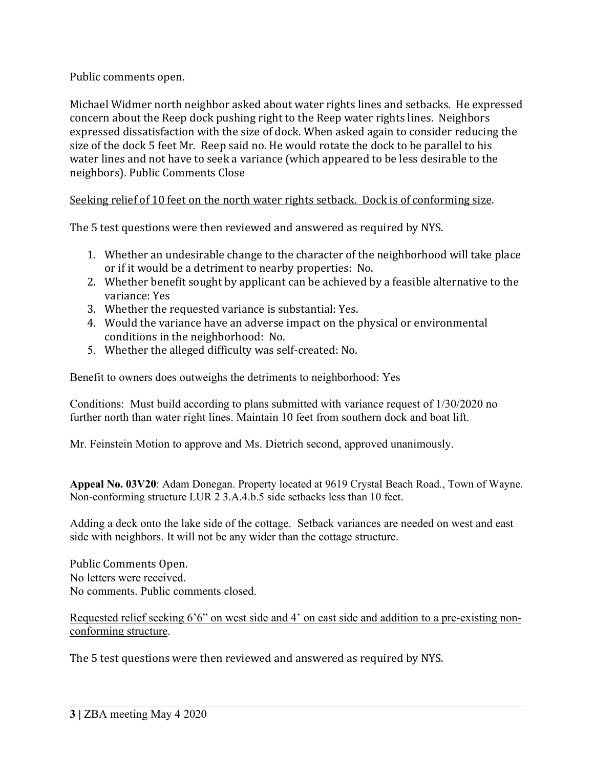Public comments open.

Michael Widmer north neighbor asked about water rights lines and setbacks. He expressed concern about the Reep dock pushing right to the Reep water rights lines. Neighbors expressed dissatisfaction with the size of dock. When asked again to consider reducing the size of the dock 5 feet Mr. Reep said no. He would rotate the dock to be parallel to his water lines and not have to seek a variance (which appeared to be less desirable to the neighbors). Public Comments Close

# Seeking relief of 10 feet on the north water rights setback. Dock is of conforming size.

The 5 test questions were then reviewed and answered as required by NYS.

- 1. Whether an undesirable change to the character of the neighborhood will take place or if it would be a detriment to nearby properties: No.
- 2. Whether benefit sought by applicant can be achieved by a feasible alternative to the variance: Yes
- 3. Whether the requested variance is substantial: Yes.
- 4. Would the variance have an adverse impact on the physical or environmental conditions in the neighborhood: No.
- 5. Whether the alleged difficulty was self-created: No.

Benefit to owners does outweighs the detriments to neighborhood: Yes

Conditions: Must build according to plans submitted with variance request of 1/30/2020 no further north than water right lines. Maintain 10 feet from southern dock and boat lift.

Mr. Feinstein Motion to approve and Ms. Dietrich second, approved unanimously.

**Appeal No. 03V20**: Adam Donegan. Property located at 9619 Crystal Beach Road., Town of Wayne. Non-conforming structure LUR 2 3.A.4.b.5 side setbacks less than 10 feet.

Adding a deck onto the lake side of the cottage. Setback variances are needed on west and east side with neighbors. It will not be any wider than the cottage structure.

Public Comments Open. No letters were received. No comments. Public comments closed.

Requested relief seeking 6'6" on west side and 4' on east side and addition to a pre-existing nonconforming structure.

The 5 test questions were then reviewed and answered as required by NYS.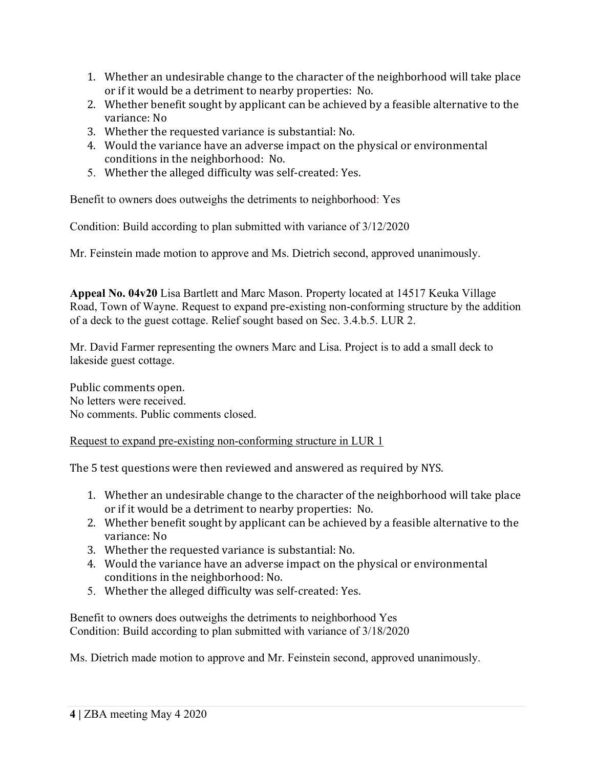- 1. Whether an undesirable change to the character of the neighborhood will take place or if it would be a detriment to nearby properties: No.
- 2. Whether benefit sought by applicant can be achieved by a feasible alternative to the variance: No
- 3. Whether the requested variance is substantial: No.
- 4. Would the variance have an adverse impact on the physical or environmental conditions in the neighborhood: No.
- 5. Whether the alleged difficulty was self-created: Yes.

Benefit to owners does outweighs the detriments to neighborhood: Yes

Condition: Build according to plan submitted with variance of 3/12/2020

Mr. Feinstein made motion to approve and Ms. Dietrich second, approved unanimously.

**Appeal No. 04v20** Lisa Bartlett and Marc Mason. Property located at 14517 Keuka Village Road, Town of Wayne. Request to expand pre-existing non-conforming structure by the addition of a deck to the guest cottage. Relief sought based on Sec. 3.4.b.5. LUR 2.

Mr. David Farmer representing the owners Marc and Lisa. Project is to add a small deck to lakeside guest cottage.

Public comments open. No letters were received. No comments. Public comments closed.

## Request to expand pre-existing non-conforming structure in LUR 1

The 5 test questions were then reviewed and answered as required by NYS.

- 1. Whether an undesirable change to the character of the neighborhood will take place or if it would be a detriment to nearby properties: No.
- 2. Whether benefit sought by applicant can be achieved by a feasible alternative to the variance: No
- 3. Whether the requested variance is substantial: No.
- 4. Would the variance have an adverse impact on the physical or environmental conditions in the neighborhood: No.
- 5. Whether the alleged difficulty was self-created: Yes.

Benefit to owners does outweighs the detriments to neighborhood Yes Condition: Build according to plan submitted with variance of 3/18/2020

Ms. Dietrich made motion to approve and Mr. Feinstein second, approved unanimously.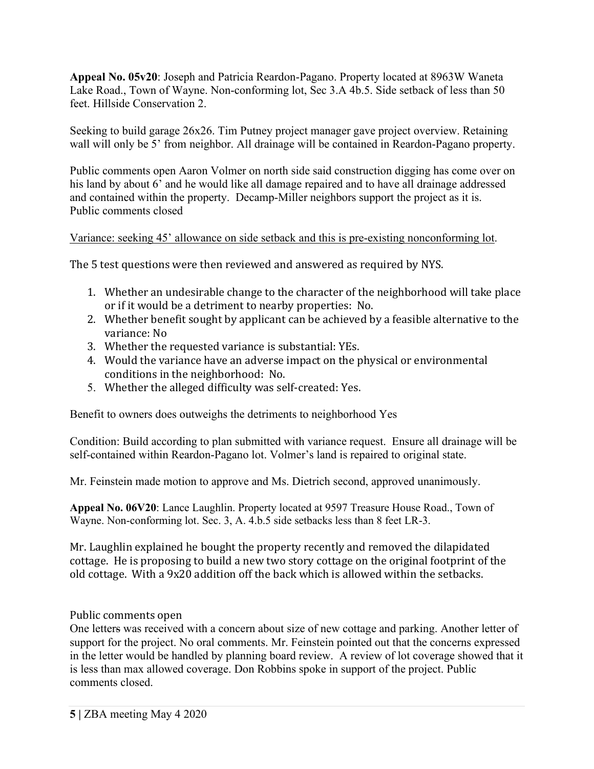**Appeal No. 05v20**: Joseph and Patricia Reardon-Pagano. Property located at 8963W Waneta Lake Road., Town of Wayne. Non-conforming lot, Sec 3.A 4b.5. Side setback of less than 50 feet. Hillside Conservation 2.

Seeking to build garage 26x26. Tim Putney project manager gave project overview. Retaining wall will only be 5' from neighbor. All drainage will be contained in Reardon-Pagano property.

Public comments open Aaron Volmer on north side said construction digging has come over on his land by about 6' and he would like all damage repaired and to have all drainage addressed and contained within the property. Decamp-Miller neighbors support the project as it is. Public comments closed

### Variance: seeking 45' allowance on side setback and this is pre-existing nonconforming lot.

The 5 test questions were then reviewed and answered as required by NYS.

- 1. Whether an undesirable change to the character of the neighborhood will take place or if it would be a detriment to nearby properties: No.
- 2. Whether benefit sought by applicant can be achieved by a feasible alternative to the variance: No
- 3. Whether the requested variance is substantial: YEs.
- 4. Would the variance have an adverse impact on the physical or environmental conditions in the neighborhood: No.
- 5. Whether the alleged difficulty was self-created: Yes.

Benefit to owners does outweighs the detriments to neighborhood Yes

Condition: Build according to plan submitted with variance request. Ensure all drainage will be self-contained within Reardon-Pagano lot. Volmer's land is repaired to original state.

Mr. Feinstein made motion to approve and Ms. Dietrich second, approved unanimously.

**Appeal No. 06V20**: Lance Laughlin. Property located at 9597 Treasure House Road., Town of Wayne. Non-conforming lot. Sec. 3, A. 4.b.5 side setbacks less than 8 feet LR-3.

Mr. Laughlin explained he bought the property recently and removed the dilapidated cottage. He is proposing to build a new two story cottage on the original footprint of the old cottage. With a 9x20 addition off the back which is allowed within the setbacks.

Public comments open

One letters was received with a concern about size of new cottage and parking. Another letter of support for the project. No oral comments. Mr. Feinstein pointed out that the concerns expressed in the letter would be handled by planning board review. A review of lot coverage showed that it is less than max allowed coverage. Don Robbins spoke in support of the project. Public comments closed.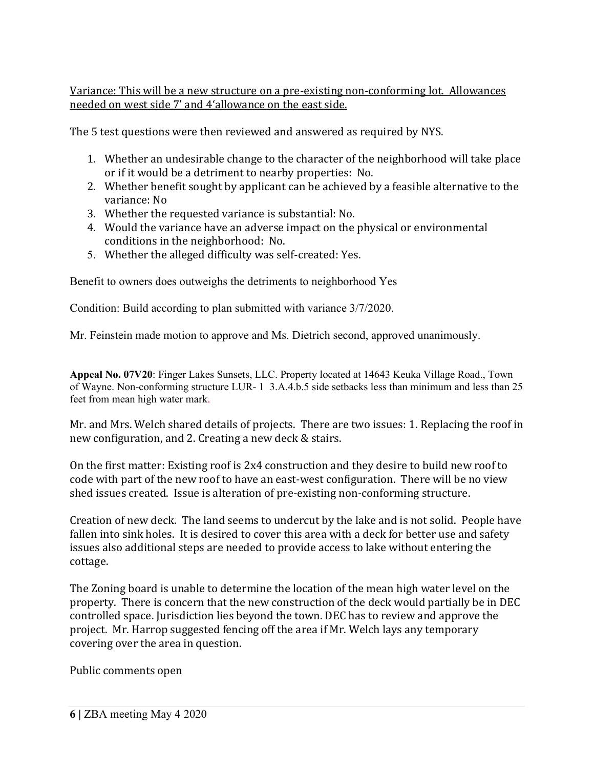Variance: This will be a new structure on a pre-existing non-conforming lot. Allowances needed on west side 7' and 4'allowance on the east side.

The 5 test questions were then reviewed and answered as required by NYS.

- 1. Whether an undesirable change to the character of the neighborhood will take place or if it would be a detriment to nearby properties: No.
- 2. Whether benefit sought by applicant can be achieved by a feasible alternative to the variance: No
- 3. Whether the requested variance is substantial: No.
- 4. Would the variance have an adverse impact on the physical or environmental conditions in the neighborhood: No.
- 5. Whether the alleged difficulty was self-created: Yes.

Benefit to owners does outweighs the detriments to neighborhood Yes

Condition: Build according to plan submitted with variance 3/7/2020.

Mr. Feinstein made motion to approve and Ms. Dietrich second, approved unanimously.

**Appeal No. 07V20**: Finger Lakes Sunsets, LLC. Property located at 14643 Keuka Village Road., Town of Wayne. Non-conforming structure LUR- 1 3.A.4.b.5 side setbacks less than minimum and less than 25 feet from mean high water mark.

Mr. and Mrs. Welch shared details of projects. There are two issues: 1. Replacing the roof in new configuration, and 2. Creating a new deck & stairs.

On the first matter: Existing roof is 2x4 construction and they desire to build new roof to code with part of the new roof to have an east-west configuration. There will be no view shed issues created. Issue is alteration of pre-existing non-conforming structure.

Creation of new deck. The land seems to undercut by the lake and is not solid. People have fallen into sink holes. It is desired to cover this area with a deck for better use and safety issues also additional steps are needed to provide access to lake without entering the cottage.

The Zoning board is unable to determine the location of the mean high water level on the property. There is concern that the new construction of the deck would partially be in DEC controlled space. Jurisdiction lies beyond the town. DEC has to review and approve the project. Mr. Harrop suggested fencing off the area if Mr. Welch lays any temporary covering over the area in question.

Public comments open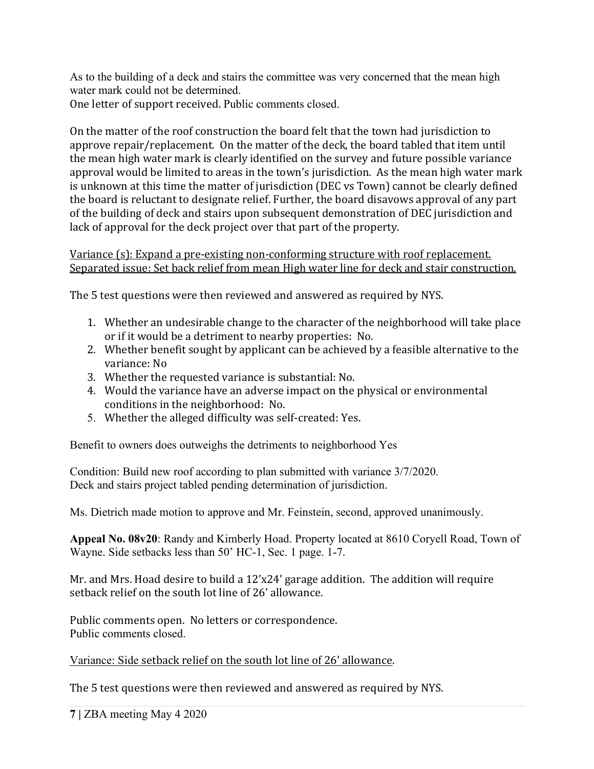As to the building of a deck and stairs the committee was very concerned that the mean high water mark could not be determined.

One letter of support received. Public comments closed.

On the matter of the roof construction the board felt that the town had jurisdiction to approve repair/replacement. On the matter of the deck, the board tabled that item until the mean high water mark is clearly identified on the survey and future possible variance approval would be limited to areas in the town's jurisdiction. As the mean high water mark is unknown at this time the matter of jurisdiction (DEC vs Town) cannot be clearly defined the board is reluctant to designate relief. Further, the board disavows approval of any part of the building of deck and stairs upon subsequent demonstration of DEC jurisdiction and lack of approval for the deck project over that part of the property.

Variance (s): Expand a pre-existing non-conforming structure with roof replacement. Separated issue: Set back relief from mean High water line for deck and stair construction.

The 5 test questions were then reviewed and answered as required by NYS.

- 1. Whether an undesirable change to the character of the neighborhood will take place or if it would be a detriment to nearby properties: No.
- 2. Whether benefit sought by applicant can be achieved by a feasible alternative to the variance: No
- 3. Whether the requested variance is substantial: No.
- 4. Would the variance have an adverse impact on the physical or environmental conditions in the neighborhood: No.
- 5. Whether the alleged difficulty was self-created: Yes.

Benefit to owners does outweighs the detriments to neighborhood Yes

Condition: Build new roof according to plan submitted with variance 3/7/2020. Deck and stairs project tabled pending determination of jurisdiction.

Ms. Dietrich made motion to approve and Mr. Feinstein, second, approved unanimously.

**Appeal No. 08v20**: Randy and Kimberly Hoad. Property located at 8610 Coryell Road, Town of Wayne. Side setbacks less than 50' HC-1, Sec. 1 page. 1-7.

Mr. and Mrs. Hoad desire to build a 12'x24' garage addition. The addition will require setback relief on the south lot line of 26' allowance.

Public comments open. No letters or correspondence. Public comments closed.

Variance: Side setback relief on the south lot line of 26' allowance.

The 5 test questions were then reviewed and answered as required by NYS.